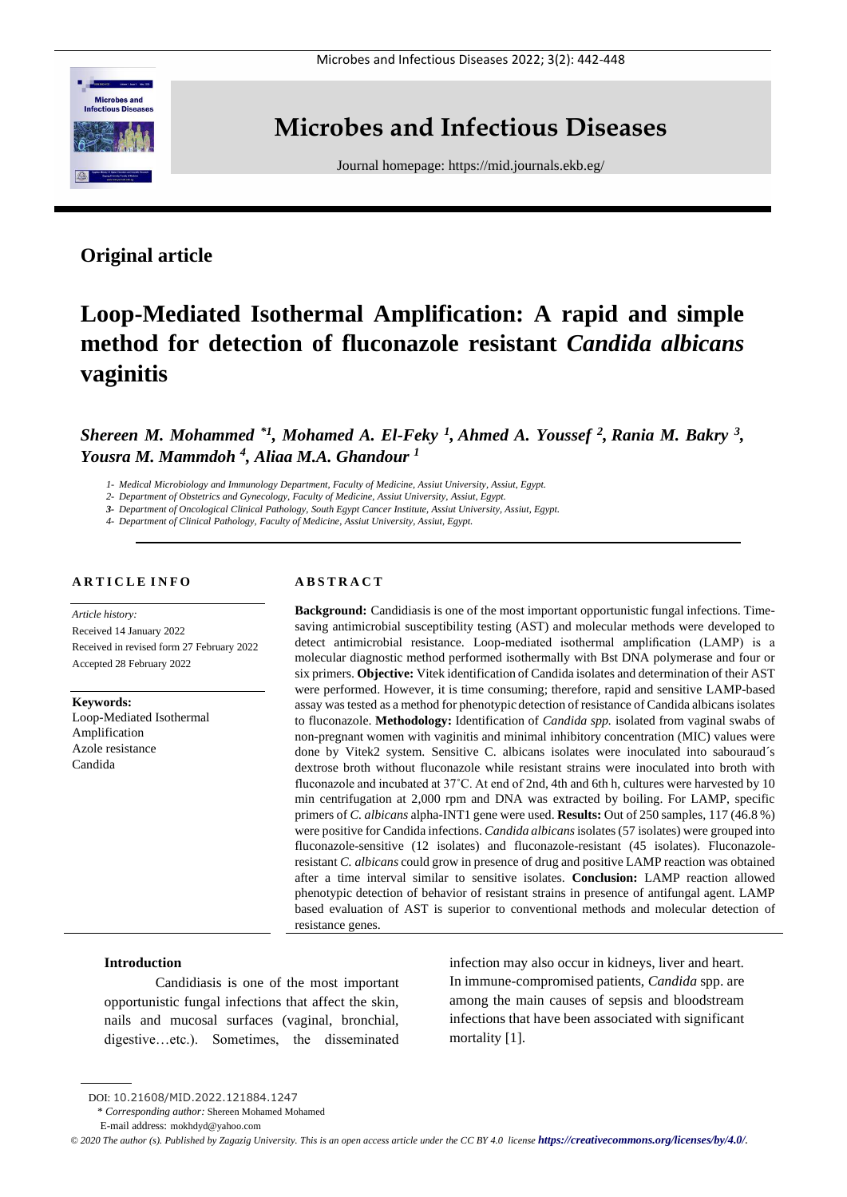

## **Microbes and Infectious Diseases**

Journal homepage:<https://mid.journals.ekb.eg/>

## **Original article**

# **Loop-Mediated Isothermal Amplification: A rapid and simple method for detection of fluconazole resistant** *Candida albicans* **vaginitis**

*Shereen M. Mohammed \*1, Mohamed A. El-Feky <sup>1</sup> , Ahmed A. Youssef <sup>2</sup> , Rania M. Bakry <sup>3</sup> , Yousra M. Mammdoh <sup>4</sup> , Aliaa M.A. Ghandour <sup>1</sup>*

*1- Medical Microbiology and Immunology Department, Faculty of Medicine, Assiut University, Assiut, Egypt.*

*2- Department of Obstetrics and Gynecology, Faculty of Medicine, Assiut University, Assiut, Egypt.*

*3- Department of Oncological Clinical Pathology, South Egypt Cancer Institute, Assiut University, Assiut, Egypt.* 

*4- Department of Clinical Pathology, Faculty of Medicine, Assiut University, Assiut, Egypt.*

### **A R T I C L E I N F O**

*Article history:* 

Received 14 January 2022 Received in revised form 27 February 2022 Accepted 28 February 2022

**Keywords:** Loop-Mediated Isothermal Amplification Azole resistance Candida

## **A B S T R A C T**

**Background:** Candidiasis is one of the most important opportunistic fungal infections. Timesaving antimicrobial susceptibility testing (AST) and molecular methods were developed to detect antimicrobial resistance. Loop-mediated isothermal amplification (LAMP) is a molecular diagnostic method performed isothermally with Bst DNA polymerase and four or six primers. **Objective:** Vitek identification of Candida isolates and determination of their AST were performed. However, it is time consuming; therefore, rapid and sensitive LAMP-based assay was tested as a method for phenotypic detection of resistance of Candida albicans isolates to fluconazole. **Methodology:** Identification of *Candida spp.* isolated from vaginal swabs of non-pregnant women with vaginitis and minimal inhibitory concentration (MIC) values were done by Vitek2 system. Sensitive C. albicans isolates were inoculated into sabouraud´s dextrose broth without fluconazole while resistant strains were inoculated into broth with fluconazole and incubated at 37˚C. At end of 2nd, 4th and 6th h, cultures were harvested by 10 min centrifugation at 2,000 rpm and DNA was extracted by boiling. For LAMP, specific primers of *C. albicans* alpha-INT1 gene were used. **Results:** Out of 250 samples, 117 (46.8 %) were positive for Candida infections. *Candida albicans* isolates (57 isolates) were grouped into fluconazole-sensitive (12 isolates) and fluconazole-resistant (45 isolates). Fluconazoleresistant *C. albicans* could grow in presence of drug and positive LAMP reaction was obtained after a time interval similar to sensitive isolates. **Conclusion:** LAMP reaction allowed phenotypic detection of behavior of resistant strains in presence of antifungal agent. LAMP based evaluation of AST is superior to conventional methods and molecular detection of resistance genes.

## **Introduction**

Candidiasis is one of the most important opportunistic fungal infections that affect the skin, nails and mucosal surfaces (vaginal, bronchial, digestive…etc.). Sometimes, the disseminated infection may also occur in kidneys, liver and heart. In immune-compromised patients, *Candida* spp. are among the main causes of sepsis and bloodstream infections that have been associated with significant mortality [1].

\* *Corresponding author:* Shereen Mohamed Mohamed

DOI: 10.21608/MID.2022.121884.1247

E-mail address: mokhdyd@yahoo.com

 $\degree$  2020 The author (s). Published by Zagazig University. This is an open access article under the CC BY 4.0 license **<https://creativecommons.org/licenses/by/4.0/>***.*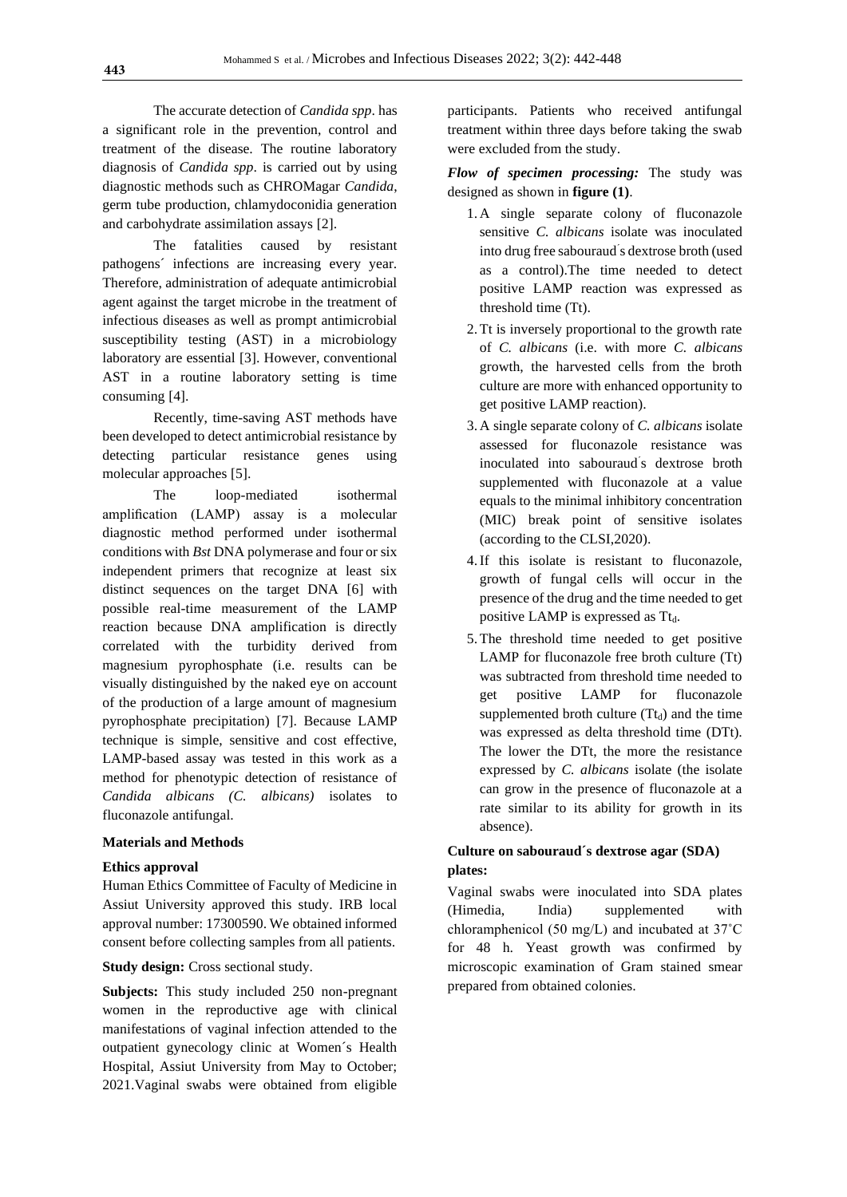The accurate detection of *Candida spp*. has a significant role in the prevention, control and treatment of the disease. The routine laboratory diagnosis of *Candida spp*. is carried out by using diagnostic methods such as CHROMagar *Candida*, germ tube production, chlamydoconidia generation and carbohydrate assimilation assays [2].

The fatalities caused by resistant pathogens´ infections are increasing every year. Therefore, administration of adequate antimicrobial agent against the target microbe in the treatment of infectious diseases as well as prompt antimicrobial susceptibility testing (AST) in a microbiology laboratory are essential [3]. However, conventional AST in a routine laboratory setting is time consuming [4].

Recently, time-saving AST methods have been developed to detect antimicrobial resistance by detecting particular resistance genes using molecular approaches [5].

The loop-mediated isothermal amplification (LAMP) assay is a molecular diagnostic method performed under isothermal conditions with *Bst* DNA polymerase and four or six independent primers that recognize at least six distinct sequences on the target DNA [6] with possible real-time measurement of the LAMP reaction because DNA amplification is directly correlated with the turbidity derived from magnesium pyrophosphate (i.e. results can be visually distinguished by the naked eye on account of the production of a large amount of magnesium pyrophosphate precipitation) [7]. Because LAMP technique is simple, sensitive and cost effective, LAMP-based assay was tested in this work as a method for phenotypic detection of resistance of *Candida albicans (C. albicans)* isolates to fluconazole antifungal.

## **Materials and Methods**

## **Ethics approval**

Human Ethics Committee of Faculty of Medicine in Assiut University approved this study. IRB local approval number: 17300590. We obtained informed consent before collecting samples from all patients.

## **Study design:** Cross sectional study.

**Subjects:** This study included 250 non-pregnant women in the reproductive age with clinical manifestations of vaginal infection attended to the outpatient gynecology clinic at Women´s Health Hospital, Assiut University from May to October; 2021.Vaginal swabs were obtained from eligible

participants. Patients who received antifungal treatment within three days before taking the swab were excluded from the study.

*Flow of specimen processing:* The study was designed as shown in **figure (1)**.

- 1. A single separate colony of fluconazole sensitive *C. albicans* isolate was inoculated into drug free sabouraud´ s dextrose broth (used as a control).The time needed to detect positive LAMP reaction was expressed as threshold time (Tt).
- 2.Tt is inversely proportional to the growth rate of *C. albicans* (i.e. with more *C. albicans* growth, the harvested cells from the broth culture are more with enhanced opportunity to get positive LAMP reaction).
- 3. A single separate colony of *C. albicans* isolate assessed for fluconazole resistance was inoculated into sabouraud´ s dextrose broth supplemented with fluconazole at a value equals to the minimal inhibitory concentration (MIC) break point of sensitive isolates (according to the CLSI,2020).
- 4.If this isolate is resistant to fluconazole, growth of fungal cells will occur in the presence of the drug and the time needed to get positive LAMP is expressed as  $T_{d}$ .
- 5.The threshold time needed to get positive LAMP for fluconazole free broth culture (Tt) was subtracted from threshold time needed to get positive LAMP for fluconazole supplemented broth culture  $(Tt_d)$  and the time was expressed as delta threshold time (DTt). The lower the DTt, the more the resistance expressed by *C. albicans* isolate (the isolate can grow in the presence of fluconazole at a rate similar to its ability for growth in its absence).

## **Culture on sabouraud´s dextrose agar (SDA) plates:**

Vaginal swabs were inoculated into SDA plates (Himedia, India) supplemented with chloramphenicol (50 mg/L) and incubated at 37˚C for 48 h. Yeast growth was confirmed by microscopic examination of Gram stained smear prepared from obtained colonies.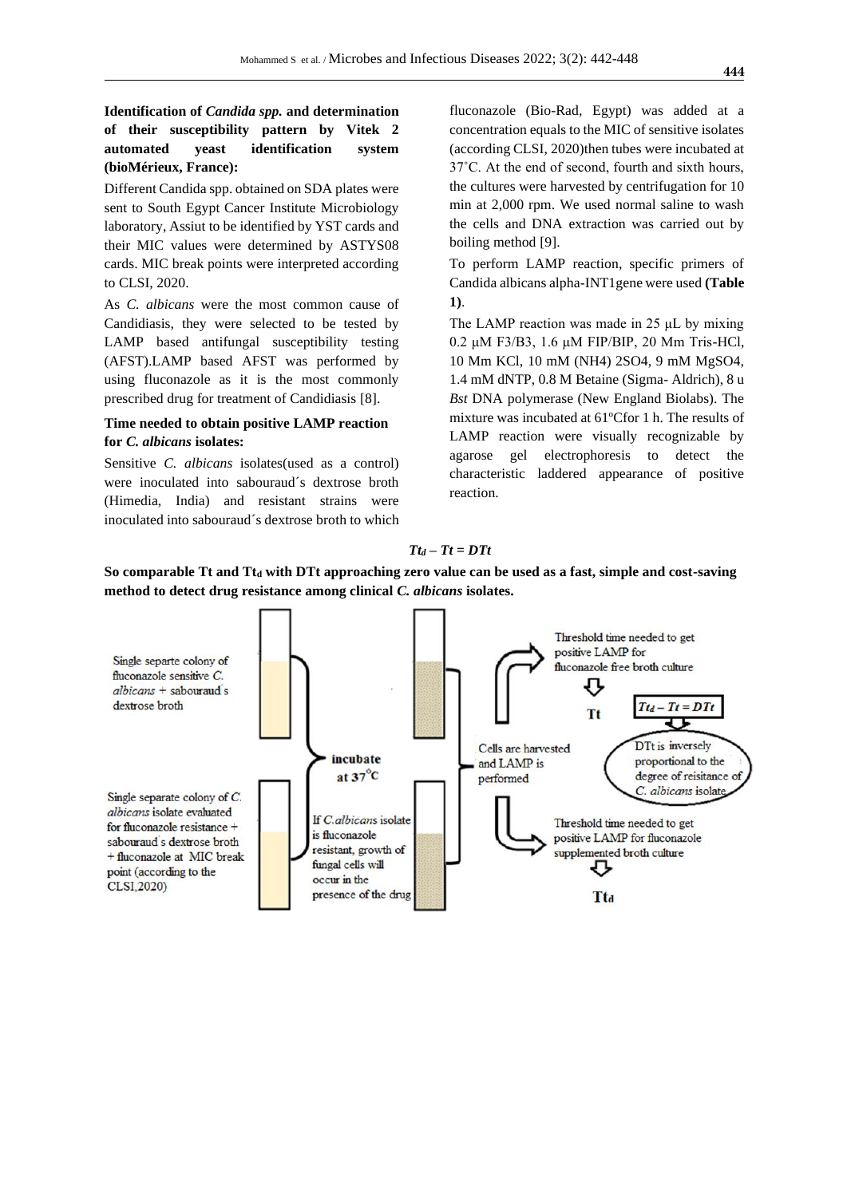## **Identification of** *Candida spp.* **and determination of their susceptibility pattern by Vitek 2 automated yeast identification system (bioMérieux, France):**

Different Candida spp. obtained on SDA plates were sent to South Egypt Cancer Institute Microbiology laboratory, Assiut to be identified by YST cards and their MIC values were determined by ASTYS08 cards. MIC break points were interpreted according to CLSI, 2020.

As *C. albicans* were the most common cause of Candidiasis, they were selected to be tested by LAMP based antifungal susceptibility testing (AFST).LAMP based AFST was performed by using fluconazole as it is the most commonly prescribed drug for treatment of Candidiasis [8].

## **Time needed to obtain positive LAMP reaction for** *C. albicans* **isolates:**

Sensitive *C. albicans* isolates(used as a control) were inoculated into sabouraud´s dextrose broth (Himedia, India) and resistant strains were inoculated into sabouraud´s dextrose broth to which fluconazole (Bio-Rad, Egypt) was added at a concentration equals to the MIC of sensitive isolates (according CLSI, 2020)then tubes were incubated at 37˚C. At the end of second, fourth and sixth hours, the cultures were harvested by centrifugation for 10 min at 2,000 rpm. We used normal saline to wash the cells and DNA extraction was carried out by boiling method [9].

To perform LAMP reaction, specific primers of Candida albicans alpha-INT1gene were used **(Table 1)**.

The LAMP reaction was made in 25 μL by mixing 0.2 μM F3/B3, 1.6 μM FIP/BIP, 20 Mm Tris-HCl, 10 Mm KCl, 10 mM (NH4) 2SO4, 9 mM MgSO4, 1.4 mM dNTP, 0.8 M Betaine (Sigma- Aldrich), 8 u *Bst* DNA polymerase (New England Biolabs). The mixture was incubated at 61ºCfor 1 h. The results of LAMP reaction were visually recognizable by agarose gel electrophoresis to detect the characteristic laddered appearance of positive reaction.

#### *Tt<sup>d</sup> – Tt = DTt*

**So comparable Tt and Tt<sup>d</sup> with DTt approaching zero value can be used as a fast, simple and cost-saving method to detect drug resistance among clinical** *C. albicans* **isolates.**

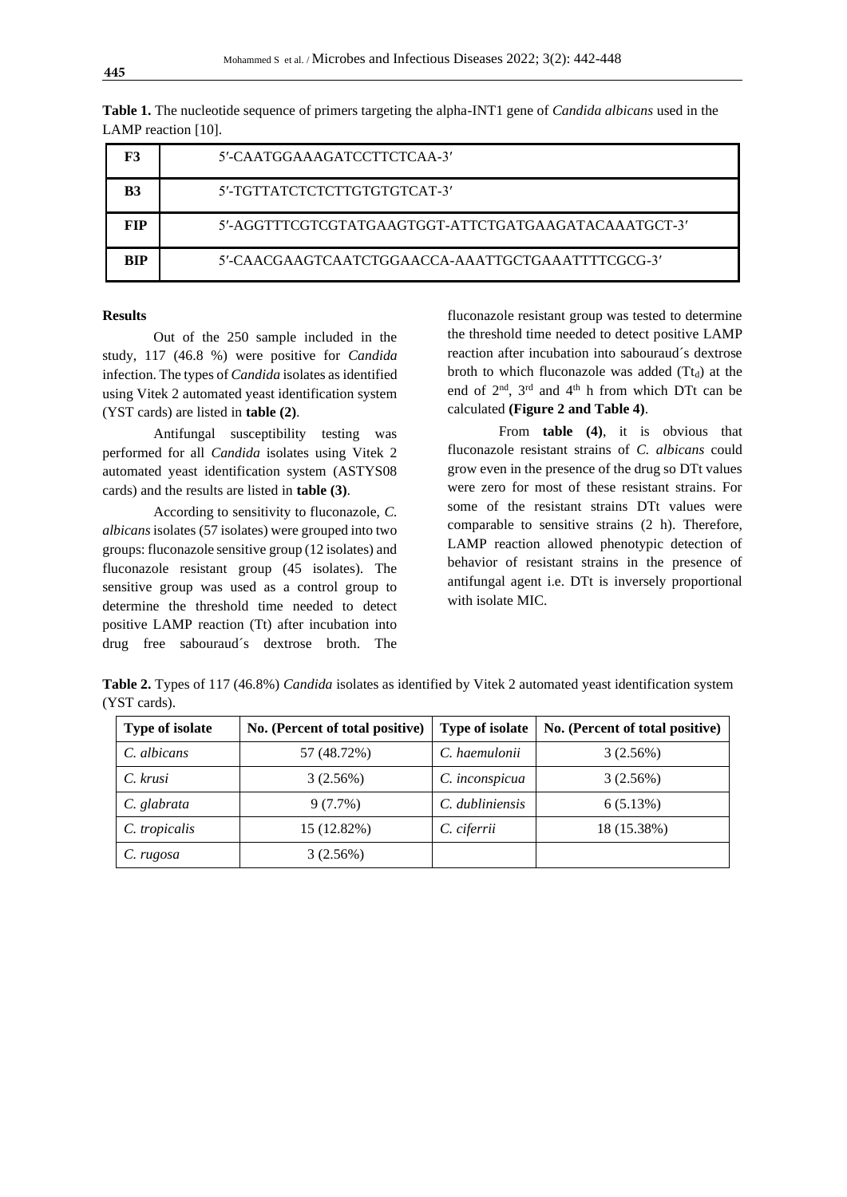| F3         | 5'-CAATGGAAAGATCCTTCTCAA-3'                          |
|------------|------------------------------------------------------|
| B3         | 5'-TGTTATCTCTCTTGTGTGTCAT-3'                         |
| <b>FIP</b> | 5'-AGGTTTCGTCGTATGAAGTGGT-ATTCTGATGAAGATACAAATGCT-3' |
| <b>BIP</b> | 5'-CAACGAAGTCAATCTGGAACCA-AAATTGCTGAAATTTTCGCG-3'    |

**Table 1.** The nucleotide sequence of primers targeting the alpha-INT1 gene of *Candida albicans* used in the LAMP reaction [10].

#### **Results**

Out of the 250 sample included in the study, 117 (46.8 %) were positive for *Candida* infection. The types of *Candida* isolates as identified using Vitek 2 automated yeast identification system (YST cards) are listed in **table (2)**.

Antifungal susceptibility testing was performed for all *Candida* isolates using Vitek 2 automated yeast identification system (ASTYS08 cards) and the results are listed in **table (3)**.

According to sensitivity to fluconazole, *C. albicans*isolates (57 isolates) were grouped into two groups: fluconazole sensitive group (12 isolates) and fluconazole resistant group (45 isolates). The sensitive group was used as a control group to determine the threshold time needed to detect positive LAMP reaction (Tt) after incubation into drug free sabouraud´s dextrose broth. The

fluconazole resistant group was tested to determine the threshold time needed to detect positive LAMP reaction after incubation into sabouraud´s dextrose broth to which fluconazole was added  $(Tt_d)$  at the end of  $2<sup>nd</sup>$ ,  $3<sup>rd</sup>$  and  $4<sup>th</sup>$  h from which DTt can be calculated **(Figure 2 and Table 4)**.

From **table (4)**, it is obvious that fluconazole resistant strains of *C. albicans* could grow even in the presence of the drug so DTt values were zero for most of these resistant strains. For some of the resistant strains DTt values were comparable to sensitive strains (2 h). Therefore, LAMP reaction allowed phenotypic detection of behavior of resistant strains in the presence of antifungal agent i.e. DTt is inversely proportional with isolate MIC.

**Table 2.** Types of 117 (46.8%) *Candida* isolates as identified by Vitek 2 automated yeast identification system (YST cards).

| <b>Type of isolate</b> | No. (Percent of total positive) | <b>Type of isolate</b> | No. (Percent of total positive) |  |  |
|------------------------|---------------------------------|------------------------|---------------------------------|--|--|
| C. albicans            | 57 (48.72%)                     | C. haemulonii          | 3(2.56%)                        |  |  |
| C. krusi               | 3(2.56%)                        | C. inconspicua         | 3(2.56%)                        |  |  |
| C. glabrata            | 9(7.7%)                         | C. dubliniensis        | 6(5.13%)                        |  |  |
| C. tropicalis          | 15 (12.82%)                     | C. ciferrii            | 18 (15.38%)                     |  |  |
| C. rugosa              | 3(2.56%)                        |                        |                                 |  |  |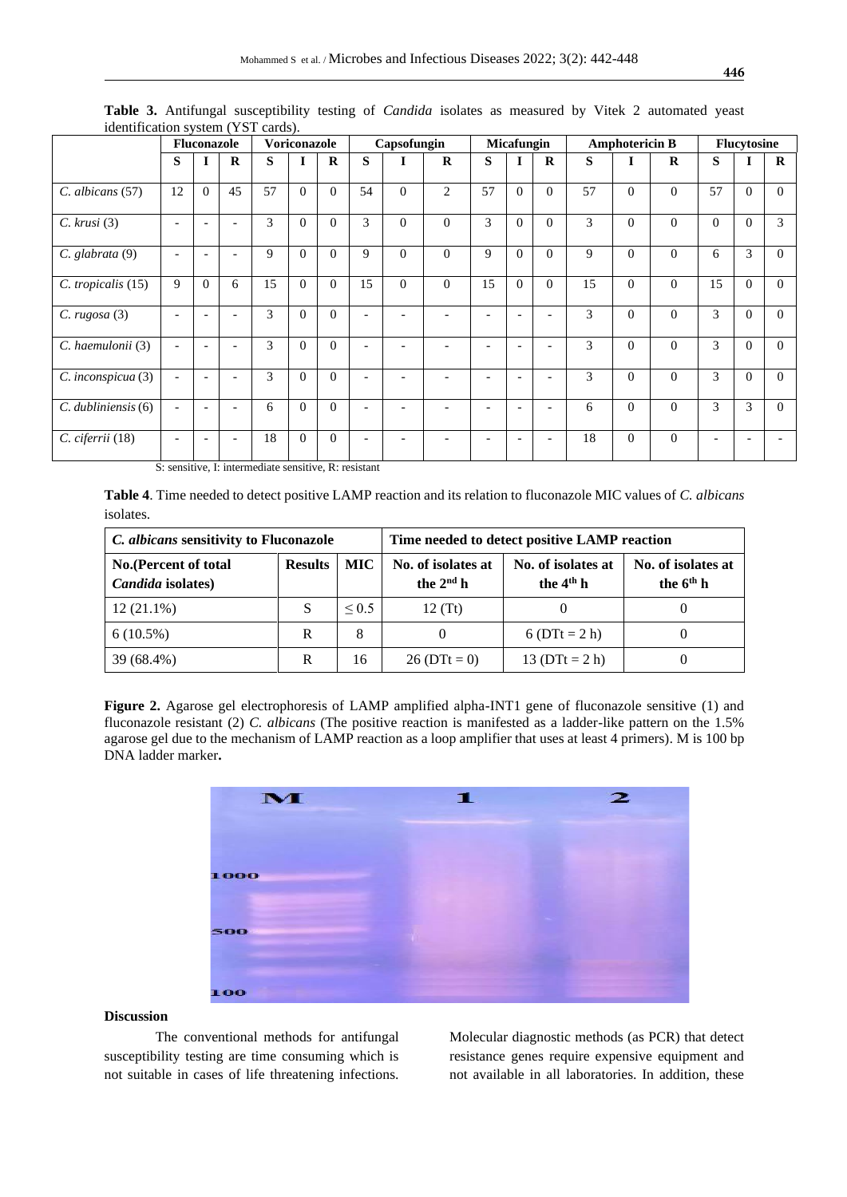|                         | ruentmeation system (TDT carus).<br><b>Fluconazole</b> |                          |                          | <b>Voriconazole</b> |          |             | Capsofungin              |                          | <b>Micafungin</b> |                          |                          | <b>Amphotericin B</b>    |    |                | <b>Flucytosine</b> |          |          |              |
|-------------------------|--------------------------------------------------------|--------------------------|--------------------------|---------------------|----------|-------------|--------------------------|--------------------------|-------------------|--------------------------|--------------------------|--------------------------|----|----------------|--------------------|----------|----------|--------------|
|                         | S                                                      | $\overline{\phantom{a}}$ | $\mathbf R$              | S                   |          | $\mathbf R$ | S                        |                          | $\mathbf R$       | S                        |                          | $\mathbf R$              | S  |                | $\mathbf R$        | S        |          | $\mathbf{R}$ |
| $C.$ albicans $(57)$    | 12                                                     | $\Omega$                 | 45                       | 57                  | $\Omega$ | $\Omega$    | 54                       | $\Omega$                 | 2                 | 57                       | $\theta$                 | $\Omega$                 | 57 | $\overline{0}$ | $\Omega$           | 57       | $\Omega$ | $\Omega$     |
| $C.$ krusi $(3)$        |                                                        |                          | $\overline{\phantom{a}}$ | 3                   | $\Omega$ | $\Omega$    | 3                        | $\Omega$                 | $\Omega$          | 3                        | $\Omega$                 | $\Omega$                 | 3  | $\Omega$       | $\Omega$           | $\Omega$ | $\Omega$ | 3            |
| C. glabrata (9)         | $\overline{\phantom{a}}$                               | $\overline{\phantom{0}}$ | ۰                        | 9                   | $\Omega$ | $\Omega$    | 9                        | $\Omega$                 | $\mathbf{0}$      | 9                        | $\Omega$                 | $\Omega$                 | 9  | $\overline{0}$ | $\overline{0}$     | 6        | 3        | $\Omega$     |
| C. tropicalis (15)      | 9                                                      | $\Omega$                 | 6                        | 15                  | $\Omega$ | $\Omega$    | 15                       | $\Omega$                 | $\Omega$          | 15                       | $\Omega$                 | $\Omega$                 | 15 | $\overline{0}$ | $\Omega$           | 15       | $\Omega$ | $\Omega$     |
| C. rugosa(3)            | $\overline{\phantom{a}}$                               |                          | $\overline{\phantom{a}}$ | 3                   | $\Omega$ | $\Omega$    |                          |                          |                   |                          |                          | $\overline{\phantom{0}}$ | 3  | $\overline{0}$ | $\mathbf{0}$       | 3        | $\Omega$ | $\Omega$     |
| C. haemulonii (3)       | $\overline{\phantom{a}}$                               |                          | $\overline{a}$           | 3                   | $\Omega$ | $\theta$    | $\overline{\phantom{a}}$ | $\overline{\phantom{0}}$ |                   | $\overline{\phantom{a}}$ | $\overline{\phantom{a}}$ | $\overline{\phantom{0}}$ | 3  | $\overline{0}$ | $\Omega$           | 3        | $\Omega$ | $\Omega$     |
| C. inconspicua (3)      | $\overline{\phantom{a}}$                               | $\overline{\phantom{0}}$ | ۰                        | 3                   | $\Omega$ | $\Omega$    |                          |                          |                   |                          |                          | $\overline{\phantom{0}}$ | 3  | $\overline{0}$ | $\Omega$           | 3        | $\Omega$ | $\Omega$     |
| $C.$ dubliniensis $(6)$ | $\overline{\phantom{a}}$                               |                          | $\overline{a}$           | 6                   | $\Omega$ | $\theta$    | $\overline{\phantom{a}}$ | $\overline{\phantom{0}}$ |                   |                          | $\overline{\phantom{a}}$ | $\overline{\phantom{0}}$ | 6  | $\overline{0}$ | $\Omega$           | 3        | 3        | $\Omega$     |
| C. ciferrii (18)        | $\overline{\phantom{0}}$                               |                          | ۰                        | 18                  | $\Omega$ | $\Omega$    |                          |                          |                   |                          |                          |                          | 18 | $\overline{0}$ | $\Omega$           |          |          |              |

**Table 3.** Antifungal susceptibility testing of *Candida* isolates as measured by Vitek 2 automated yeast identification system (YST cards).

S: sensitive, I: intermediate sensitive, R: resistant

**Table 4**. Time needed to detect positive LAMP reaction and its relation to fluconazole MIC values of *C. albicans*  isolates.

| C. albicans sensitivity to Fluconazole            |                |            | Time needed to detect positive LAMP reaction |                                   |                                   |  |  |  |
|---------------------------------------------------|----------------|------------|----------------------------------------------|-----------------------------------|-----------------------------------|--|--|--|
| <b>No.</b> (Percent of total<br>Candida isolates) | <b>Results</b> | <b>MIC</b> | No. of isolates at<br>the $2nd$ h            | No. of isolates at<br>the $4th$ h | No. of isolates at<br>the $6th$ h |  |  |  |
| $12(21.1\%)$                                      | S              | ${}_{0.5}$ | 12(Tt)                                       |                                   |                                   |  |  |  |
| $6(10.5\%)$<br>R<br>8                             |                |            | $6(DTt = 2 h)$                               |                                   |                                   |  |  |  |
| 39 (68.4%)                                        | R              | 16         | $26(DTt = 0)$                                | 13 ( $DTt = 2 h$ )                |                                   |  |  |  |

**Figure 2.** Agarose gel electrophoresis of LAMP amplified alpha-INT1 gene of fluconazole sensitive (1) and fluconazole resistant (2) *C. albicans* (The positive reaction is manifested as a ladder-like pattern on the 1.5% agarose gel due to the mechanism of LAMP reaction as a loop amplifier that uses at least 4 primers)*.* M is 100 bp DNA ladder marker**.**



## **Discussion**

The conventional methods for antifungal susceptibility testing are time consuming which is not suitable in cases of life threatening infections.

Molecular diagnostic methods (as PCR) that detect resistance genes require expensive equipment and not available in all laboratories. In addition, these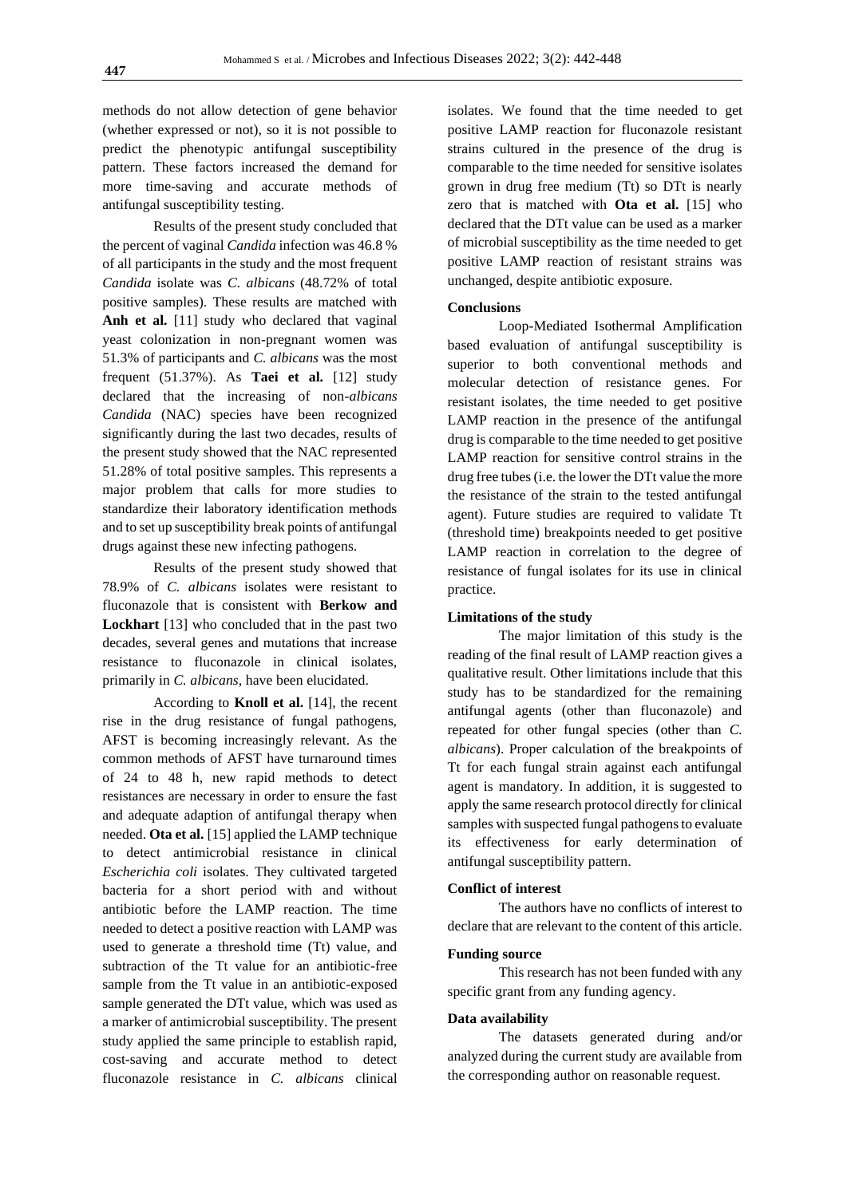methods do not allow detection of gene behavior (whether expressed or not), so it is not possible to predict the phenotypic antifungal susceptibility pattern. These factors increased the demand for more time-saving and accurate methods of antifungal susceptibility testing.

Results of the present study concluded that the percent of vaginal *Candida* infection was 46.8 % of all participants in the study and the most frequent *Candida* isolate was *C. albicans* (48.72% of total positive samples). These results are matched with Anh et al. [11] study who declared that vaginal yeast colonization in non-pregnant women was 51.3% of participants and *C. albicans* was the most frequent (51.37%). As **Taei et al.** [12] study declared that the increasing of non-*albicans Candida* (NAC) species have been recognized significantly during the last two decades, results of the present study showed that the NAC represented 51.28% of total positive samples. This represents a major problem that calls for more studies to standardize their laboratory identification methods and to set up susceptibility break points of antifungal drugs against these new infecting pathogens.

Results of the present study showed that 78.9% of *C. albicans* isolates were resistant to fluconazole that is consistent with **Berkow and Lockhart** [13] who concluded that in the past two decades, several genes and mutations that increase resistance to fluconazole in clinical isolates, primarily in *C. albicans*, have been elucidated.

According to **Knoll et al.** [14], the recent rise in the drug resistance of fungal pathogens, AFST is becoming increasingly relevant. As the common methods of AFST have turnaround times of 24 to 48 h, new rapid methods to detect resistances are necessary in order to ensure the fast and adequate adaption of antifungal therapy when needed. **Ota et al.** [15] applied the LAMP technique to detect antimicrobial resistance in clinical *Escherichia coli* isolates. They cultivated targeted bacteria for a short period with and without antibiotic before the LAMP reaction. The time needed to detect a positive reaction with LAMP was used to generate a threshold time (Tt) value, and subtraction of the Tt value for an antibiotic-free sample from the Tt value in an antibiotic-exposed sample generated the DTt value, which was used as a marker of antimicrobial susceptibility. The present study applied the same principle to establish rapid, cost-saving and accurate method to detect fluconazole resistance in *C. albicans* clinical

isolates. We found that the time needed to get positive LAMP reaction for fluconazole resistant strains cultured in the presence of the drug is comparable to the time needed for sensitive isolates grown in drug free medium (Tt) so DTt is nearly zero that is matched with **Ota et al.** [15] who declared that the DTt value can be used as a marker of microbial susceptibility as the time needed to get positive LAMP reaction of resistant strains was unchanged, despite antibiotic exposure.

## **Conclusions**

Loop-Mediated Isothermal Amplification based evaluation of antifungal susceptibility is superior to both conventional methods and molecular detection of resistance genes. For resistant isolates, the time needed to get positive LAMP reaction in the presence of the antifungal drug is comparable to the time needed to get positive LAMP reaction for sensitive control strains in the drug free tubes (i.e. the lower the DTt value the more the resistance of the strain to the tested antifungal agent). Future studies are required to validate Tt (threshold time) breakpoints needed to get positive LAMP reaction in correlation to the degree of resistance of fungal isolates for its use in clinical practice.

#### **Limitations of the study**

The major limitation of this study is the reading of the final result of LAMP reaction gives a qualitative result. Other limitations include that this study has to be standardized for the remaining antifungal agents (other than fluconazole) and repeated for other fungal species (other than *C. albicans*). Proper calculation of the breakpoints of Tt for each fungal strain against each antifungal agent is mandatory. In addition, it is suggested to apply the same research protocol directly for clinical samples with suspected fungal pathogens to evaluate its effectiveness for early determination of antifungal susceptibility pattern.

#### **Conflict of interest**

The authors have no conflicts of interest to declare that are relevant to the content of this article.

## **Funding source**

This research has not been funded with any specific grant from any funding agency.

## **Data availability**

The datasets generated during and/or analyzed during the current study are available from the corresponding author on reasonable request.